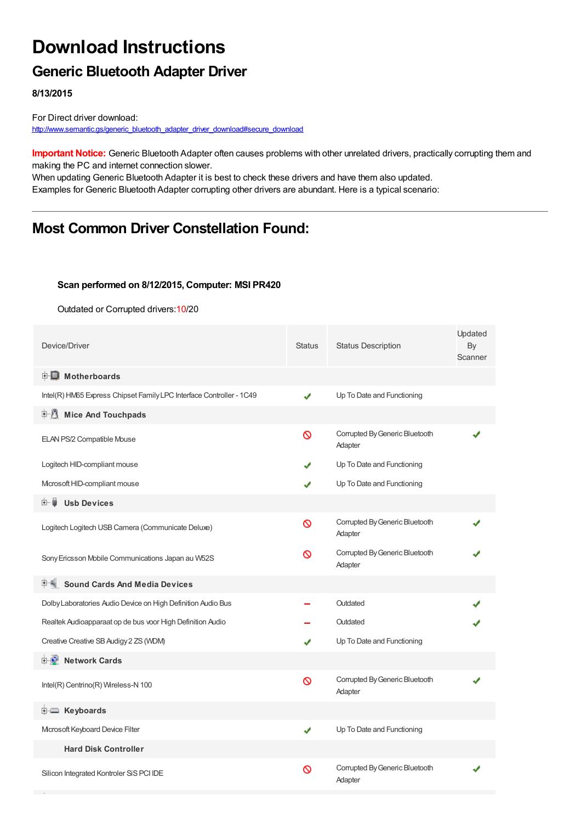# **Download Instructions**

### **Generic Bluetooth Adapter Driver**

**8/13/2015**

For Direct driver download: [http://www.semantic.gs/generic\\_bluetooth\\_adapter\\_driver\\_download#secure\\_download](http://www.semantic.gs/generic_bluetooth_adapter_driver_download#secure_download)

**Important Notice:** Generic Bluetooth Adapter often causes problems with other unrelated drivers, practically corrupting them and making the PC and internet connection slower.

When updating Generic Bluetooth Adapter it is best to check these drivers and have them also updated. Examples for Generic Bluetooth Adapter corrupting other drivers are abundant. Here is a typical scenario:

## **Most Common Driver Constellation Found:**

#### **Scan performed on 8/12/2015, Computer: MSI PR420**

Outdated or Corrupted drivers:10/20

| Device/Driver                                                        | <b>Status</b> | <b>Status Description</b>                 | Updated<br>By<br>Scanner |
|----------------------------------------------------------------------|---------------|-------------------------------------------|--------------------------|
| <b>E</b> Motherboards                                                |               |                                           |                          |
| Intel(R) HM65 Express Chipset Family LPC Interface Controller - 1C49 | ✔             | Up To Date and Functioning                |                          |
| <b>Mice And Touchpads</b>                                            |               |                                           |                          |
| ELAN PS/2 Compatible Mouse                                           | $\infty$      | Corrupted By Generic Bluetooth<br>Adapter |                          |
| Logitech HID-compliant mouse                                         |               | Up To Date and Functioning                |                          |
| Mcrosoft HID-compliant mouse                                         | ✔             | Up To Date and Functioning                |                          |
| <b>Usb Devices</b><br>田一面                                            |               |                                           |                          |
| Logitech Logitech USB Camera (Communicate Deluxe)                    | ଷ             | Corrupted By Generic Bluetooth<br>Adapter |                          |
| Sony Ericsson Mobile Communications Japan au W52S                    | ര             | Corrupted By Generic Bluetooth<br>Adapter |                          |
| <b>Sound Cards And Media Devices</b>                                 |               |                                           |                          |
| Dolby Laboratories Audio Device on High Definition Audio Bus         |               | Outdated                                  |                          |
| Realtek Audioapparaat op de bus voor High Definition Audio           |               | Outdated                                  |                          |
| Creative Creative SB Audigy 2 ZS (WDM)                               |               | Up To Date and Functioning                |                          |
| <b>Network Cards</b>                                                 |               |                                           |                          |
| Intel(R) Centrino(R) Wireless-N 100                                  | Ø             | Corrupted By Generic Bluetooth<br>Adapter |                          |
| E Keyboards                                                          |               |                                           |                          |
| Microsoft Keyboard Device Filter                                     | ✔             | Up To Date and Functioning                |                          |
| <b>Hard Disk Controller</b>                                          |               |                                           |                          |
| Silicon Integrated Kontroler SiS PCI IDE                             | ଷ             | Corrupted By Generic Bluetooth<br>Adapter |                          |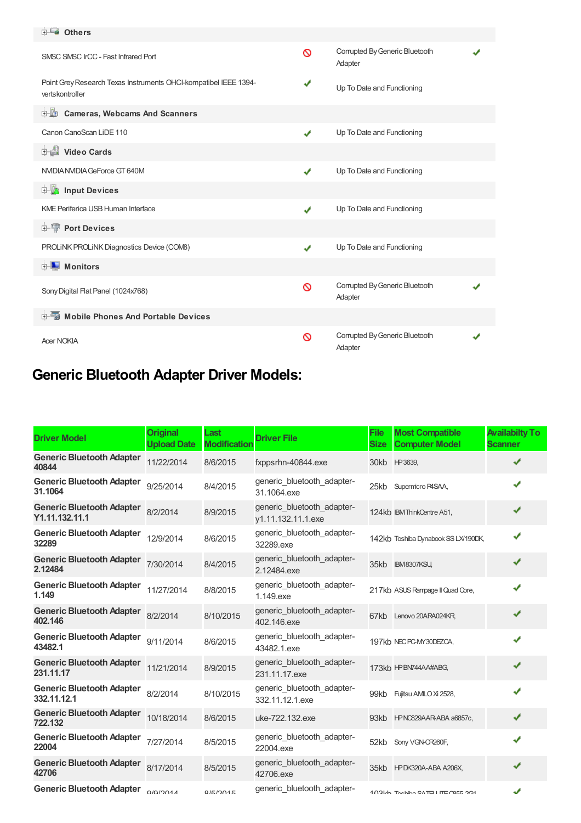| <b>E</b> Others                                                                     |   |                                           |  |
|-------------------------------------------------------------------------------------|---|-------------------------------------------|--|
| SMSC SMSC IrCC - Fast Infrared Port                                                 | Ø | Corrupted By Generic Bluetooth<br>Adapter |  |
| Point Grey Research Texas Instruments OHCI-kompatibel IEEE 1394-<br>vertskontroller | ✔ | Up To Date and Functioning                |  |
| <b>D</b> Cameras, Webcams And Scanners                                              |   |                                           |  |
| Canon CanoScan LiDE 110                                                             | ✔ | Up To Date and Functioning                |  |
| Video Cards                                                                         |   |                                           |  |
| NVIDIA NVIDIA GeForce GT 640M                                                       | ✔ | Up To Date and Functioning                |  |
| <b>E</b> Input Devices                                                              |   |                                           |  |
| <b>KME Periferica USB Human Interface</b>                                           | ✔ | Up To Date and Functioning                |  |
| <b>E-1</b> Port Devices                                                             |   |                                           |  |
| PROLINK PROLINK Diagnostics Device (COMB)                                           | ✔ | Up To Date and Functioning                |  |
| <b>E</b> Monitors                                                                   |   |                                           |  |
| Sony Digital Flat Panel (1024x768)                                                  | ര | Corrupted By Generic Bluetooth<br>Adapter |  |
| <b>E-5</b> Mobile Phones And Portable Devices                                       |   |                                           |  |
| <b>Acer NOKIA</b>                                                                   | ര | Corrupted By Generic Bluetooth<br>Adapter |  |

## **Generic Bluetooth Adapter Driver Models:**

| <b>Driver Model</b>                                | <b>Original</b><br><b>Upload Date</b> | Last<br><b>Modification</b> | <b>Driver File</b>                               | <b>File</b><br><b>Size</b> | <b>Most Compatible</b><br><b>Computer Model</b> | <b>Availabilty To</b><br><b>Scanner</b> |
|----------------------------------------------------|---------------------------------------|-----------------------------|--------------------------------------------------|----------------------------|-------------------------------------------------|-----------------------------------------|
| <b>Generic Bluetooth Adapter</b><br>40844          | 11/22/2014                            | 8/6/2015                    | fxppsrhn-40844.exe                               | 30kb                       | HP3639,                                         | ✔                                       |
| <b>Generic Bluetooth Adapter</b><br>31.1064        | 9/25/2014                             | 8/4/2015                    | generic_bluetooth_adapter-<br>31.1064.exe        | 25kb                       | Supermicro P4SAA,                               | ✔                                       |
| <b>Generic Bluetooth Adapter</b><br>Y1.11.132.11.1 | 8/2/2014                              | 8/9/2015                    | generic bluetooth adapter-<br>y1.11.132.11.1.exe |                            | 124kb IBM ThinkCentre A51,                      | ✔                                       |
| <b>Generic Bluetooth Adapter</b><br>32289          | 12/9/2014                             | 8/6/2015                    | generic bluetooth adapter-<br>32289.exe          |                            | 142kb Toshiba Dynabook SS LX/190DK,             | ✔                                       |
| <b>Generic Bluetooth Adapter</b><br>2.12484        | 7/30/2014                             | 8/4/2015                    | generic bluetooth adapter-<br>2.12484.exe        | 35kb                       | IBM8307KSU,                                     | ✔                                       |
| <b>Generic Bluetooth Adapter</b><br>1.149          | 11/27/2014                            | 8/8/2015                    | generic bluetooth adapter-<br>1.149.exe          |                            | 217kb ASUS Rampage II Quad Core,                | ✔                                       |
| <b>Generic Bluetooth Adapter</b><br>402.146        | 8/2/2014                              | 8/10/2015                   | generic bluetooth adapter-<br>402.146.exe        | 67kb                       | Lenovo 20ARA024KR                               | ✔                                       |
| <b>Generic Bluetooth Adapter</b><br>43482.1        | 9/11/2014                             | 8/6/2015                    | generic bluetooth adapter-<br>43482.1.exe        |                            | 197kb NEC PC-MY30DEZCA,                         | ✔                                       |
| <b>Generic Bluetooth Adapter</b><br>231.11.17      | 11/21/2014                            | 8/9/2015                    | generic_bluetooth_adapter-<br>231.11.17.exe      |                            | 173kb HPBN744AA#ABG,                            | ✔                                       |
| <b>Generic Bluetooth Adapter</b><br>332.11.12.1    | 8/2/2014                              | 8/10/2015                   | generic bluetooth adapter-<br>332.11.12.1.exe    | 99kb                       | Fujitsu AMLO Xi 2528,                           | ✔                                       |
| <b>Generic Bluetooth Adapter</b><br>722.132        | 10/18/2014                            | 8/6/2015                    | uke-722.132.exe                                  | 93kb                       | HPNC829AAR-ABA a6857c,                          | ✔                                       |
| <b>Generic Bluetooth Adapter</b><br>22004          | 7/27/2014                             | 8/5/2015                    | generic_bluetooth_adapter-<br>22004.exe          | 52kb                       | Sony VGN-CR260F,                                | ✔                                       |
| <b>Generic Bluetooth Adapter</b><br>42706          | 8/17/2014                             | 8/5/2015                    | generic_bluetooth_adapter-<br>42706.exe          |                            | 35kb HPDK320A-ABA A206X,                        | ✔                                       |
| <b>Generic Bluetooth Adapter</b>                   | 0/0/201A                              | Q/E/2015                    | generic bluetooth adapter-                       |                            | 102Lh Toobibo CATE I ITE COEE OC1               | J                                       |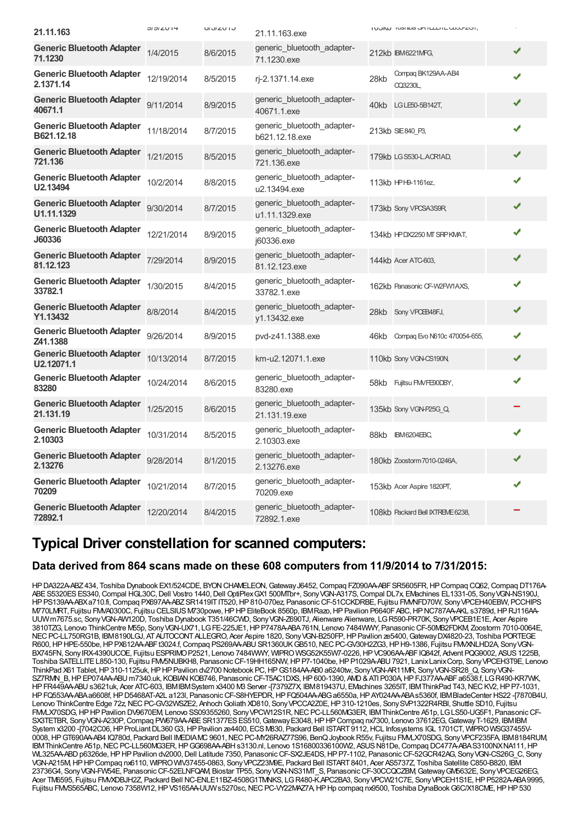| 21.11.163                                      | $UUU14$    | U / U / U / U | 21.11.163.exe                                |      | <b>I UUNU TUSHING OPHELLITE COUD-ZOH,</b> |   |
|------------------------------------------------|------------|---------------|----------------------------------------------|------|-------------------------------------------|---|
| <b>Generic Bluetooth Adapter</b><br>71.1230    | 1/4/2015   | 8/6/2015      | generic bluetooth adapter-<br>71.1230.exe    |      | 212kb IBM6221MFG,                         | ✔ |
| <b>Generic Bluetooth Adapter</b><br>2.1371.14  | 12/19/2014 | 8/5/2015      | rj-2.1371.14.exe                             | 28kb | Compaq BK129AA-AB4<br>CQ3230L,            | ✔ |
| <b>Generic Bluetooth Adapter</b><br>40671.1    | 9/11/2014  | 8/9/2015      | generic bluetooth adapter-<br>40671.1.exe    | 40kb | LG LE50-5B142T,                           | ✔ |
| <b>Generic Bluetooth Adapter</b><br>B621.12.18 | 11/18/2014 | 8/7/2015      | generic bluetooth adapter-<br>b621.12.18.exe |      | 213kb SIE840_P3,                          | ✔ |
| <b>Generic Bluetooth Adapter</b><br>721.136    | 1/21/2015  | 8/5/2015      | generic bluetooth adapter-<br>721.136.exe    |      | 179kb LG S530-L.ACR1AD,                   | ✔ |
| <b>Generic Bluetooth Adapter</b><br>U2.13494   | 10/2/2014  | 8/8/2015      | generic bluetooth adapter-<br>u2.13494.exe   |      | 113kb HPH9-1161ez,                        | √ |
| <b>Generic Bluetooth Adapter</b><br>U1.11.1329 | 9/30/2014  | 8/7/2015      | generic bluetooth adapter-<br>u1.11.1329.exe |      | 173kb Sony VPCSA3S9R,                     | √ |
| <b>Generic Bluetooth Adapter</b><br>J60336     | 12/21/2014 | 8/9/2015      | generic_bluetooth_adapter-<br>i60336.exe     |      | 134kb HPDX2250 MT SRPKMAT,                | ✔ |
| <b>Generic Bluetooth Adapter</b><br>81.12.123  | 7/29/2014  | 8/9/2015      | generic bluetooth adapter-<br>81.12.123.exe  |      | 144kb Acer ATC-603,                       | ✔ |
| <b>Generic Bluetooth Adapter</b><br>33782.1    | 1/30/2015  | 8/4/2015      | generic_bluetooth_adapter-<br>33782.1.exe    |      | 162kb Panasonic CF-W2FW1AXS,              | ✔ |
| <b>Generic Bluetooth Adapter</b><br>Y1.13432   | 8/8/2014   | 8/4/2015      | generic bluetooth adapter-<br>v1.13432.exe   | 28kb | Sony VPCEB48FJ,                           | ✔ |
| <b>Generic Bluetooth Adapter</b><br>Z41.1388   | 9/26/2014  | 8/9/2015      | pvd-z41.1388.exe                             | 46kb | Compaq Evo N610c 470054-655,              | ✔ |
| <b>Generic Bluetooth Adapter</b><br>U2.12071.1 | 10/13/2014 | 8/7/2015      | km-u2.12071.1.exe                            |      | 110kb Sony VGN-CS190N,                    | ✔ |
| <b>Generic Bluetooth Adapter</b><br>83280      | 10/24/2014 | 8/6/2015      | generic bluetooth adapter-<br>83280.exe      | 58kb | Fujitsu FMVFE90DBY,                       | J |
| <b>Generic Bluetooth Adapter</b><br>21.131.19  | 1/25/2015  | 8/6/2015      | generic_bluetooth_adapter-<br>21.131.19.exe  |      | 135kb Sony VGN-P25G Q,                    |   |
| <b>Generic Bluetooth Adapter</b><br>2.10303    | 10/31/2014 | 8/5/2015      | generic bluetooth adapter-<br>2.10303.exe    | 88kb | <b>IBM6204EBC,</b>                        | ✔ |
| <b>Generic Bluetooth Adapter</b><br>2.13276    | 9/28/2014  | 8/1/2015      | generic bluetooth adapter-<br>2.13276.exe    |      | 180kb Zoostorm 7010-0246A,                | ✔ |
| <b>Generic Bluetooth Adapter</b><br>70209      | 10/21/2014 | 8/7/2015      | generic_bluetooth_adapter-<br>70209.exe      |      | 153kb Acer Aspire 1820PT,                 | ✔ |
| Generic Bluetooth Adapter<br>72892.1           | 12/20/2014 | 8/4/2015      | generic bluetooth adapter-<br>72892.1.exe    |      | 108kb Packard Bell IXTREME 6238,          |   |

### **Typical Driver constellation for scanned computers:**

### **Data derived from 864 scans made on these 608 computers from 11/9/2014 to 7/31/2015:**

HPDA322A-ABZ434, Toshiba Dynabook EX1/524CDE, BYONCHAMELEON,GatewayJ6452,Compaq FZ090AA-ABFSR5605FR,HPCompaq CQ62,Compaq DT176A-ABES5320ESES340,Compal HGL30C,Dell Vostro 1440,Dell OptiPlexGX1 500MTbr+, SonyVGN-A317S,Compal DL7x, EMachines EL1331-05, SonyVGN-NS190J, HPPS139AA-ABXa710.fi,Compaq PX697AA-ABZSR1419ITIT520,HP810-070ez, PanasonicCF-51CCKDRBE, Fujitsu FMVNFD70W, SonyVPCEH40EBW, PCCHIPS M770LMRT, Fujitsu FMVA0300C, Fujitsu CELSIUSM730powe,HPHPEliteBook 8560p, IBMRazo,HPPavilion P6640FABC,HPNC787AA-AKL s3789d,HPRJ116AA-UUWm7675.sc, SonyVGN-AW120D, Toshiba Dynabook T351/46CWD, SonyVGN-Z690TJ, Alienware Alienware, LGR590-PR70K, SonyVPCEB1E1E, Acer Aspire 3810TZG, Lenovo ThinkCentre M55p, SonyVGN-UX71, LGFE-225JE1,HPP7478A-ABA761N, Lenovo 7484WWY, PanasonicCF-50MB2FDKM, Zoostorm 7010-0064E, NEC PC-LL750RG1B, IBM8190LGJ, AT AUTOCONT ALLEGRO, Acer Aspire 1820, Sony VGN-B250FP, HP Pavilion ze5400, Gateway DX4820-23, Toshiba PORTEGE R600, HP HPE-550be, HP PX612AA-ABFt3024.f, Compaq PS269AA-ABU SR1360UK GB510, NEC PC-GV30H2ZG3, HP H9-1386, Fujitsu FMVXNLHD2A, Sony VGN-BX745FN, Sony IRX-4390UCOE, Fujitsu ESPRIMO P2521, Lenovo 7484WWY, WIPRO WSG52K55W7-0226, HP VC906AA-ABF IQ842f, Advent PQG9002, ASUS 1225B, Toshiba SATELLITEL850-130, Fujitsu FMV5NUBKH8, PanasonicCF-19HH165NW,HPP7-1040be,HPP1029A-ABU7921, LanixLanixCorp, SonyVPCEH3T9E, Lenovo ThinkPad X61 Tablet, HP310-1125uk, HPHP Pavilion dv2700 Notebook PC, HPGS184AA-AB0 a6240tw, SonyVGN-AR11MR, SonyVGN-SR28\_Q, SonyVGN-SZ7RMN B, HPEP074AA-ABU m7340.uk, KOBIAN KOB746, Panasonic CF-T5AC1DXS, HP600-1390, AMD & ATI P030A, HP FJ377AA-ABFa6538.f, LGR490-KR7WK, HPFR449AA-ABUs3621uk, Acer ATC-603, IBMIBMSystem x3400 M3 Server -[7379Z7X, IBM819437U, EMachines 3265IT, IBMThinkPad T43,NECKV2,HPP7-1031, HPFQ553AA-ABAa6608f,HPD5468AT-A2L a123l, PanasonicCF-S8HYEPDR,HPFQ504AA-ABGa6550a,HPAY024AA-ABAs5360f, IBMBladeCenter HS22 -[7870B4U, Lenovo ThinkCentre Edge 72z,NECPC-GV32WSZE2, AnhochGoliath XD810, SonyVPCCA2Z0E,HP310-1210es, SonySVP1322R4RBI, Shuttle SD10, Fujitsu FMLX70SDG, HP HP Pavilion DV9670EM, Lenovo SS09355260, Sony VPCW12S1R, NEC PC-LL560MG3ER, IBM ThinkCentre A51p, LG LS50-UG5F1, Panasonic CF-SX3TETBR, Sony VGN-A230P, Compaq PW679AA-ABE SR1377ES ES510, Gateway E3048, HP HP Compaq nx7300, Lenovo 37612EG, Gateway T-1629, IBMIBM System x3200-[7042C06, HP ProLiant DL360 G3, HP Pavilion ze4400, ECS M830, Packard Bell ISTART 9112, HCL Infosystems IGL 1701CT, WIPRO WSG37455V-0008, HP GT690AA-AB4 IQ780d, Packard Bell IMEDIAMC 9601, NEC PC-MY26RAZ77S96, BenQ Joybook R55v, Fujitsu FMLX70SDG, Sony VPCF235FA, IBM8184RUM, IBMThinkCentre A51p, NEC PC-LL560MG3ER, HP GG698AA-ABH s3130.nl, Lenovo 1S16800336100W2, ASUS N81De, Compaq DC477A-ABA S3100NXNA111, HP WL325AA-ABD p6326de, HP HP Pavilion dv2000, Dell Latitude 7350, Panasonic CF-SX2JE4DS, HP P7-1102, Panasonic CF-52GCR42AG, Sony VGN-CS26G\_C, Sony VGN-A215M, HP HP Compaq nx6110, WIPRO WIV37455-0863, Sony VPCZ23M9E, Packard Bell ISTART 8401, Acer AS5737Z, Toshiba Satellite C850-B820, IBM 23736G4, SonyVGN-FW54E, PanasonicCF-52ELNFQAM, Biostar TP55, SonyVGN-NS31MT\_S, PanasonicCF-30CCQCZBM,GatewayGM5632E, SonyVPCEG26EG, Acer TM6595, Fujitsu FMVXDBJH2Z, Packard Bell NC-ENLE11BZ-4508G1TMNKS, LGR480-K.APC2BA3, Sony VPCW21C7E, Sony VPCEH1S1E, HP P5282A-ABA 9995, Fujitsu FMVS565ABC, Lenovo 7358W12, HP VS165AA-UUW s5270sc, NEC PC-VY22MAZ7A, HP Hp compaq nx9500, Toshiba DynaBook G6C/X18CME, HP HP 530